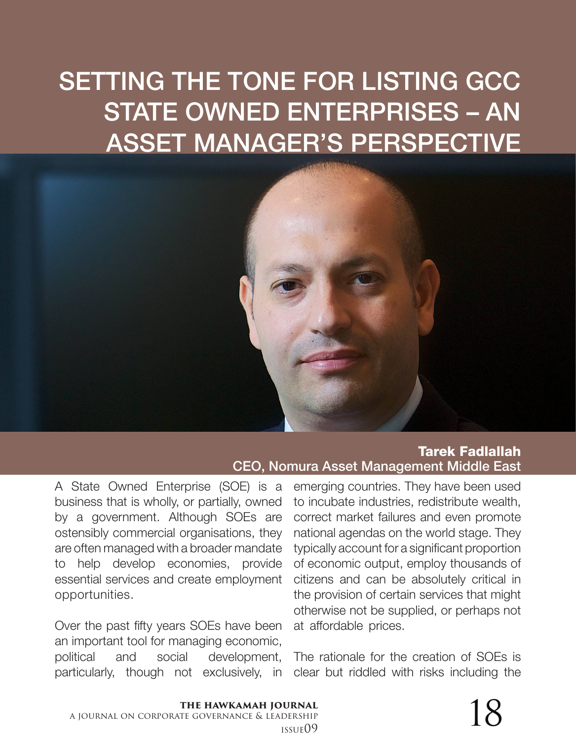## SETTING THE TONE FOR LISTING GCC STATE OWNED ENTERPRISES – AN ASSET MANAGER'S PERSPECTIVE



Tarek Fadlallah CEO, Nomura Asset Management Middle East

A State Owned Enterprise (SOE) is a business that is wholly, or partially, owned by a government. Although SOEs are ostensibly commercial organisations, they are often managed with a broader mandate to help develop economies, provide essential services and create employment opportunities.

Over the past fifty years SOEs have been an important tool for managing economic, political and social development, particularly, though not exclusively, in

emerging countries. They have been used to incubate industries, redistribute wealth, correct market failures and even promote national agendas on the world stage. They typically account for a significant proportion of economic output, employ thousands of citizens and can be absolutely critical in the provision of certain services that might otherwise not be supplied, or perhaps not at affordable prices.

The rationale for the creation of SOEs is clear but riddled with risks including the

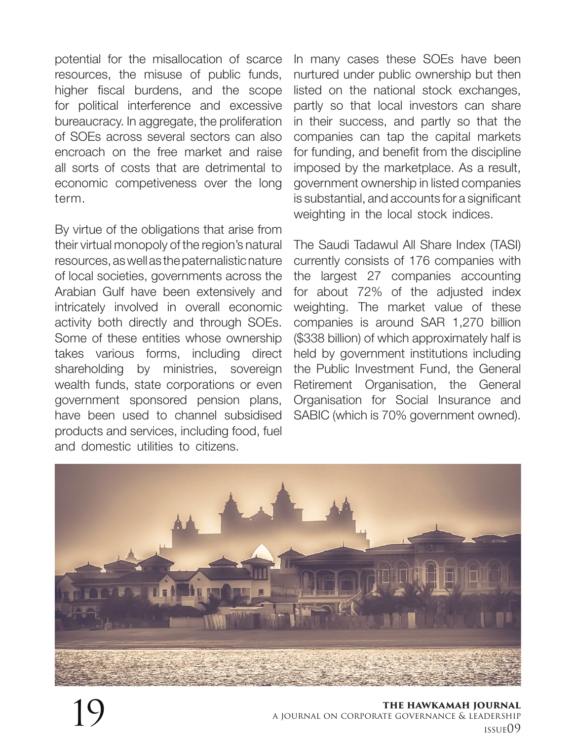potential for the misallocation of scarce resources, the misuse of public funds, higher fiscal burdens, and the scope for political interference and excessive bureaucracy. In aggregate, the proliferation of SOEs across several sectors can also encroach on the free market and raise all sorts of costs that are detrimental to economic competiveness over the long term.

By virtue of the obligations that arise from their virtual monopoly of the region's natural resources, as well as the paternalistic nature of local societies, governments across the Arabian Gulf have been extensively and intricately involved in overall economic activity both directly and through SOEs. Some of these entities whose ownership takes various forms, including direct shareholding by ministries, sovereign wealth funds, state corporations or even government sponsored pension plans, have been used to channel subsidised products and services, including food, fuel and domestic utilities to citizens.

In many cases these SOEs have been nurtured under public ownership but then listed on the national stock exchanges, partly so that local investors can share in their success, and partly so that the companies can tap the capital markets for funding, and benefit from the discipline imposed by the marketplace. As a result, government ownership in listed companies is substantial, and accounts for a significant weighting in the local stock indices.

The Saudi Tadawul All Share Index (TASI) currently consists of 176 companies with the largest 27 companies accounting for about 72% of the adjusted index weighting. The market value of these companies is around SAR 1,270 billion (\$338 billion) of which approximately half is held by government institutions including the Public Investment Fund, the General Retirement Organisation, the General Organisation for Social Insurance and SABIC (which is 70% government owned).



**the hawkamah journal** a journal on corporate governance & leadership 19 issue09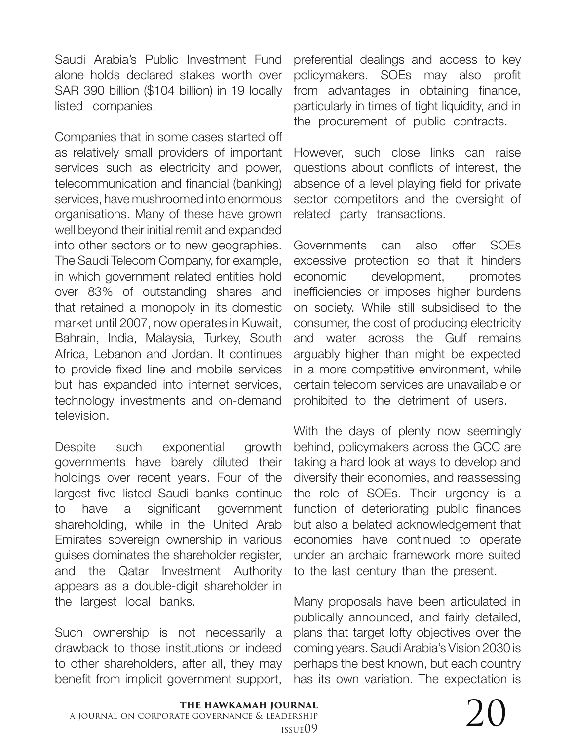Saudi Arabia's Public Investment Fund alone holds declared stakes worth over SAR 390 billion (\$104 billion) in 19 locally listed companies.

Companies that in some cases started off as relatively small providers of important services such as electricity and power, telecommunication and financial (banking) services, have mushroomed into enormous organisations. Many of these have grown well beyond their initial remit and expanded into other sectors or to new geographies. The Saudi Telecom Company, for example, in which government related entities hold over 83% of outstanding shares and that retained a monopoly in its domestic market until 2007, now operates in Kuwait, Bahrain, India, Malaysia, Turkey, South Africa, Lebanon and Jordan. It continues to provide fixed line and mobile services but has expanded into internet services, technology investments and on-demand television.

Despite such exponential growth governments have barely diluted their holdings over recent years. Four of the largest five listed Saudi banks continue to have a significant government shareholding, while in the United Arab Emirates sovereign ownership in various guises dominates the shareholder register, and the Qatar Investment Authority appears as a double-digit shareholder in the largest local banks.

Such ownership is not necessarily a drawback to those institutions or indeed to other shareholders, after all, they may benefit from implicit government support, preferential dealings and access to key policymakers. SOEs may also profit from advantages in obtaining finance, particularly in times of tight liquidity, and in the procurement of public contracts.

However, such close links can raise questions about conflicts of interest, the absence of a level playing field for private sector competitors and the oversight of related party transactions.

Governments can also offer SOEs excessive protection so that it hinders economic development, promotes inefficiencies or imposes higher burdens on society. While still subsidised to the consumer, the cost of producing electricity and water across the Gulf remains arguably higher than might be expected in a more competitive environment, while certain telecom services are unavailable or prohibited to the detriment of users.

With the days of plenty now seemingly behind, policymakers across the GCC are taking a hard look at ways to develop and diversify their economies, and reassessing the role of SOEs. Their urgency is a function of deteriorating public finances but also a belated acknowledgement that economies have continued to operate under an archaic framework more suited to the last century than the present.

Many proposals have been articulated in publically announced, and fairly detailed, plans that target lofty objectives over the coming years. Saudi Arabia's Vision 2030 is perhaps the best known, but each country has its own variation. The expectation is

## $\sum_{\text{DERSHIP}}$  1ssue09

## **the hawkamah journal** a journal on corporate governance & leadership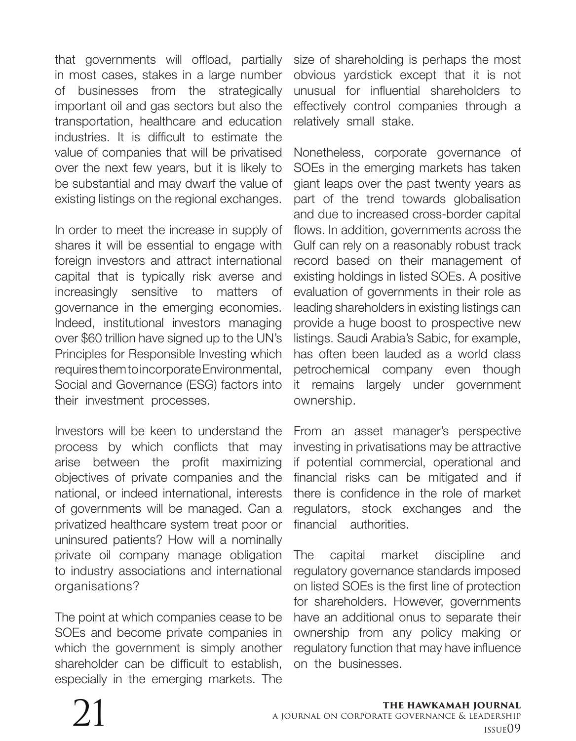that governments will offload, partially in most cases, stakes in a large number of businesses from the strategically important oil and gas sectors but also the transportation, healthcare and education industries. It is difficult to estimate the value of companies that will be privatised over the next few years, but it is likely to be substantial and may dwarf the value of existing listings on the regional exchanges.

In order to meet the increase in supply of shares it will be essential to engage with foreign investors and attract international capital that is typically risk averse and increasingly sensitive to matters of governance in the emerging economies. Indeed, institutional investors managing over \$60 trillion have signed up to the UN's Principles for Responsible Investing which requires them to incorporate Environmental, Social and Governance (ESG) factors into their investment processes.

Investors will be keen to understand the process by which conflicts that may arise between the profit maximizing objectives of private companies and the national, or indeed international, interests of governments will be managed. Can a privatized healthcare system treat poor or uninsured patients? How will a nominally private oil company manage obligation to industry associations and international organisations?

The point at which companies cease to be SOEs and become private companies in which the government is simply another shareholder can be difficult to establish, especially in the emerging markets. The

size of shareholding is perhaps the most obvious yardstick except that it is not unusual for influential shareholders to effectively control companies through a relatively small stake.

Nonetheless, corporate governance of SOEs in the emerging markets has taken giant leaps over the past twenty years as part of the trend towards globalisation and due to increased cross-border capital flows. In addition, governments across the Gulf can rely on a reasonably robust track record based on their management of existing holdings in listed SOEs. A positive evaluation of governments in their role as leading shareholders in existing listings can provide a huge boost to prospective new listings. Saudi Arabia's Sabic, for example, has often been lauded as a world class petrochemical company even though it remains largely under government ownership.

From an asset manager's perspective investing in privatisations may be attractive if potential commercial, operational and financial risks can be mitigated and if there is confidence in the role of market regulators, stock exchanges and the financial authorities.

The capital market discipline and regulatory governance standards imposed on listed SOEs is the first line of protection for shareholders. However, governments have an additional onus to separate their ownership from any policy making or regulatory function that may have influence on the businesses.